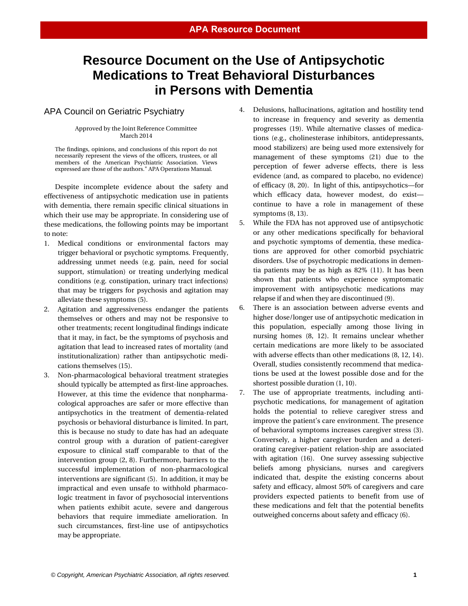# **Resource Document on the Use of Antipsychotic Medications to Treat Behavioral Disturbances in Persons with Dementia**

## APA Council on Geriatric Psychiatry

#### Approved by the Joint Reference Committee March 2014

The findings, opinions, and conclusions of this report do not necessarily represent the views of the officers, trustees, or all members of the American Psychiatric Association. Views expressed are those of the authors." APA Operations Manual.

Despite incomplete evidence about the safety and effectiveness of antipsychotic medication use in patients with dementia, there remain specific clinical situations in which their use may be appropriate. In considering use of these medications, the following points may be important to note:

- 1. Medical conditions or environmental factors may trigger behavioral or psychotic symptoms. Frequently, addressing unmet needs (e.g. pain, need for social support, stimulation) or treating underlying medical conditions (e.g. constipation, urinary tract infections) that may be triggers for psychosis and agitation may alleviate these symptoms (5).
- 2. Agitation and aggressiveness endanger the patients themselves or others and may not be responsive to other treatments; recent longitudinal findings indicate that it may, in fact, be the symptoms of psychosis and agitation that lead to increased rates of mortality (and institutionalization) rather than antipsychotic medications themselves (15).
- 3. Non-pharmacological behavioral treatment strategies should typically be attempted as first-line approaches. However, at this time the evidence that nonpharmacological approaches are safer or more effective than antipsychotics in the treatment of dementia-related psychosis or behavioral disturbance is limited. In part, this is because no study to date has had an adequate control group with a duration of patient-caregiver exposure to clinical staff comparable to that of the intervention group (2, 8). Furthermore, barriers to the successful implementation of non-pharmacological interventions are significant (5). In addition, it may be impractical and even unsafe to withhold pharmacologic treatment in favor of psychosocial interventions when patients exhibit acute, severe and dangerous behaviors that require immediate amelioration. In such circumstances, first-line use of antipsychotics may be appropriate.
- 4. Delusions, hallucinations, agitation and hostility tend to increase in frequency and severity as dementia progresses (19). While alternative classes of medications (e.g., cholinesterase inhibitors, antidepressants, mood stabilizers) are being used more extensively for management of these symptoms (21) due to the perception of fewer adverse effects, there is less evidence (and, as compared to placebo, no evidence) of efficacy (8, 20). In light of this, antipsychotics—for which efficacy data, however modest, do exist continue to have a role in management of these symptoms (8, 13).
- 5. While the FDA has not approved use of antipsychotic or any other medications specifically for behavioral and psychotic symptoms of dementia, these medications are approved for other comorbid psychiatric disorders. Use of psychotropic medications in dementia patients may be as high as 82% (11). It has been shown that patients who experience symptomatic improvement with antipsychotic medications may relapse if and when they are discontinued (9).
- 6. There is an association between adverse events and higher dose/longer use of antipsychotic medication in this population, especially among those living in nursing homes (8, 12). It remains unclear whether certain medications are more likely to be associated with adverse effects than other medications (8, 12, 14). Overall, studies consistently recommend that medications be used at the lowest possible dose and for the shortest possible duration (1, 10).
- 7. The use of appropriate treatments, including antipsychotic medications, for management of agitation holds the potential to relieve caregiver stress and improve the patient's care environment. The presence of behavioral symptoms increases caregiver stress (3). Conversely, a higher caregiver burden and a deteriorating caregiver-patient relation-ship are associated with agitation (16). One survey assessing subjective beliefs among physicians, nurses and caregivers indicated that, despite the existing concerns about safety and efficacy, almost 50% of caregivers and care providers expected patients to benefit from use of these medications and felt that the potential benefits outweighed concerns about safety and efficacy (6).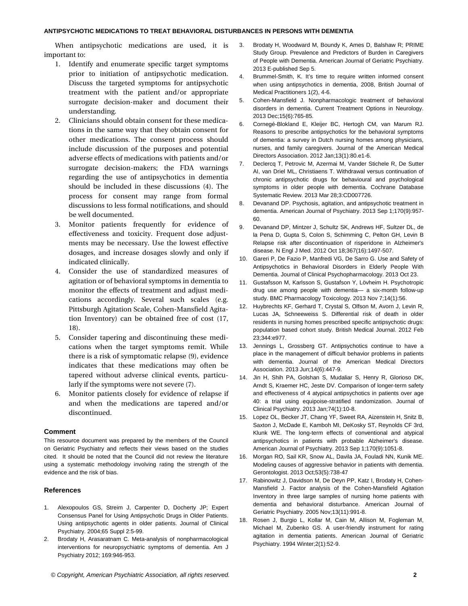#### **ANTIPSYCHOTIC MEDICATIONS TO TREAT BEHAVIORAL DISTURBANCES IN PERSONS WITH DEMENTIA**

When antipsychotic medications are used, it is important to:

- 1. Identify and enumerate specific target symptoms prior to initiation of antipsychotic medication. Discuss the targeted symptoms for antipsychotic treatment with the patient and/or appropriate surrogate decision-maker and document their understanding.
- 2. Clinicians should obtain consent for these medications in the same way that they obtain consent for other medications. The consent process should include discussion of the purposes and potential adverse effects of medications with patients and/or surrogate decision-makers; the FDA warnings regarding the use of antipsychotics in dementia should be included in these discussions (4). The process for consent may range from formal discussions to less formal notifications, and should be well documented.
- 3. Monitor patients frequently for evidence of effectiveness and toxicity. Frequent dose adjustments may be necessary. Use the lowest effective dosages, and increase dosages slowly and only if indicated clinically.
- 4. Consider the use of standardized measures of agitation or of behavioral symptoms in dementia to monitor the effects of treatment and adjust medications accordingly. Several such scales (e.g. Pittsburgh Agitation Scale, Cohen-Mansfield Agitation Inventory) can be obtained free of cost (17, 18).
- 5. Consider tapering and discontinuing these medications when the target symptoms remit. While there is a risk of symptomatic relapse (9), evidence indicates that these medications may often be tapered without adverse clinical events, particularly if the symptoms were not severe (7).
- 6. Monitor patients closely for evidence of relapse if and when the medications are tapered and/or discontinued.

#### **Comment**

This resource document was prepared by the members of the Council on Geriatric Psychiatry and reflects their views based on the studies cited. It should be noted that the Council did not review the literature using a systematic methodology involving rating the strength of the evidence and the risk of bias.

## **References**

- 1. Alexopoulos GS, Streim J, Carpenter D, Docherty JP; Expert Consensus Panel for Using Antipsychotic Drugs in Older Patients. Using antipsychotic agents in older patients. Journal of Clinical Psychiatry. 2004;65 Suppl 2:5-99.
- 2. Brodaty H, Arasaratnam C. Meta-analysis of nonpharmacological interventions for neuropsychiatric symptoms of dementia. Am J Psychiatry 2012; 169:946-953.
- 3. Brodaty H, Woodward M, Boundy K, Ames D, Balshaw R; PRIME Study Group. Prevalence and Predictors of Burden in Caregivers of People with Dementia. American Journal of Geriatric Psychiatry. 2013 E-published Sep 5.
- 4. Brummel-Smith, K. It's time to require written informed consent when using antipsychotics in dementia, 2008, British Journal of Medical Practitioners 1(2), 4-6.
- 5. Cohen-Mansfield J. Nonpharmacologic treatment of behavioral disorders in dementia. Current Treatment Options in Neurology. 2013 Dec;15(6):765-85.
- 6. Cornegé-Blokland E, Kleijer BC, Hertogh CM, van Marum RJ. Reasons to prescribe antipsychotics for the behavioral symptoms of dementia: a survey in Dutch nursing homes among physicians, nurses, and family caregivers. Journal of the American Medical Directors Association. 2012 Jan;13(1):80.e1-6.
- 7. Declercq T, Petrovic M, Azermai M, Vander Stichele R, De Sutter AI, van Driel ML, Christiaens T. Withdrawal versus continuation of chronic antipsychotic drugs for behavioural and psychological symptoms in older people with dementia. Cochrane Database Systematic Review. 2013 Mar 28;3:CD007726.
- 8. Devanand DP. Psychosis, agitation, and antipsychotic treatment in dementia. American Journal of Psychiatry. 2013 Sep 1;170(9):957- 60.
- 9. Devanand DP, Mintzer J, Schultz SK, Andrews HF, Sultzer DL, de la Pena D, Gupta S, Colon S, Schimming C, Pelton GH, Levin B Relapse risk after discontinuation of risperidone in Alzheimer's disease. N Engl J Med. 2012 Oct 18;367(16):1497-507.
- 10. Gareri P, De Fazio P, Manfredi VG, De Sarro G. Use and Safety of Antipsychotics in Behavioral Disorders in Elderly People With Dementia. Journal of Clinical Psychopharmacology. 2013 Oct 23.
- 11. Gustafsson M, Karlsson S, Gustafson Y, Lövheim H. Psychotropic drug use among people with dementia— a six-month follow-up study. BMC Pharmacology Toxicology. 2013 Nov 7;14(1):56.
- 12. Huybrechts KF, Gerhard T, Crystal S, Olfson M, Avorn J, Levin R, Lucas JA, Schneeweiss S. Differential risk of death in older residents in nursing homes prescribed specific antipsychotic drugs: population based cohort study. British Medical Journal. 2012 Feb 23;344:e977.
- 13. Jennings L, Grossberg GT. Antipsychotics continue to have a place in the management of difficult behavior problems in patients with dementia. Journal of the American Medical Directors Association. 2013 Jun;14(6):447-9.
- 14. Jin H, Shih PA, Golshan S, Mudaliar S, Henry R, Glorioso DK, Arndt S, Kraemer HC, Jeste DV. Comparison of longer-term safety and effectiveness of 4 atypical antipsychotics in patients over age 40: a trial using equipoise-stratified randomization. Journal of Clinical Psychiatry. 2013 Jan;74(1):10-8.
- 15. Lopez OL, Becker JT, Chang YF, Sweet RA, Aizenstein H, Snitz B, Saxton J, McDade E, Kamboh MI, DeKosky ST, Reynolds CF 3rd, Klunk WE. The long-term effects of conventional and atypical antipsychotics in patients with probable Alzheimer's disease. American Journal of Psychiatry. 2013 Sep 1;170(9):1051-8.
- 16. Morgan RO, Sail KR, Snow AL, Davila JA, Fouladi NN, Kunik ME. Modeling causes of aggressive behavior in patients with dementia. Gerontologist. 2013 Oct;53(5):738-47
- 17. Rabinowitz J, Davidson M, De Deyn PP, Katz I, Brodaty H, Cohen-Mansfield J. Factor analysis of the Cohen-Mansfield Agitation Inventory in three large samples of nursing home patients with dementia and behavioral disturbance. American Journal of Geriatric Psychiatry. 2005 Nov;13(11):991-8.
- 18. Rosen J, Burgio L, Kollar M, Cain M, Allison M, Fogleman M, Michael M, Zubenko GS. A user-friendly instrument for rating agitation in dementia patients. American Journal of Geriatric Psychiatry. 1994 Winter;2(1):52-9.